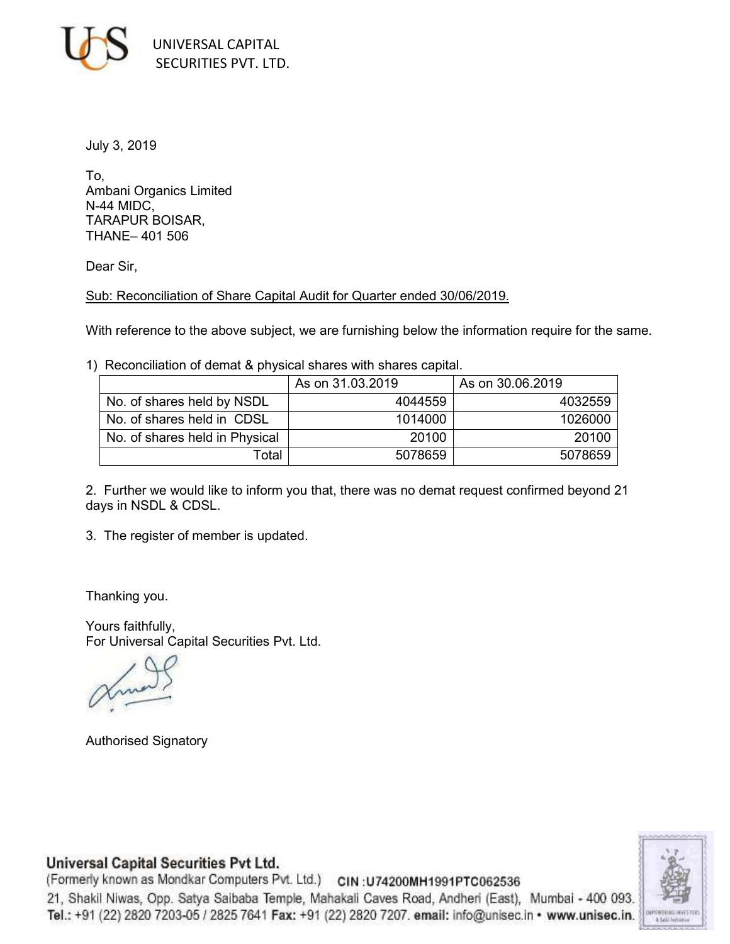

July 3, 2019

To, Ambani Organics Limited N-44 MIDC, TARAPUR BOISAR, THANE– 401 506

Dear Sir,

Sub: Reconciliation of Share Capital Audit for Quarter ended 30/06/2019.

With reference to the above subject, we are furnishing below the information require for the same.

1) Reconciliation of demat & physical shares with shares capital.

|                                | As on 31.03.2019 | As on 30.06.2019 |
|--------------------------------|------------------|------------------|
| No. of shares held by NSDL     | 4044559          | 4032559          |
| No. of shares held in CDSL     | 1014000          | 1026000          |
| No. of shares held in Physical | 20100            | 20100            |
| Total                          | 5078659          | 5078659          |

2. Further we would like to inform you that, there was no demat request confirmed beyond 21 days in NSDL & CDSL.

3. The register of member is updated.

Thanking you.

Yours faithfully, For Universal Capital Securities Pvt. Ltd.

Authorised Signatory

## Universal Capital Securities Pvt Ltd.

(Formerly known as Mondkar Computers Pvt. Ltd.) CIN: U74200MH1991PTC062536 21, Shakil Niwas, Opp. Satya Saibaba Temple, Mahakali Caves Road, Andheri (East), Mumbai - 400 093. Tel.: +91 (22) 2820 7203-05 / 2825 7641 Fax: +91 (22) 2820 7207. email: info@unisec.in · www.unisec.in.